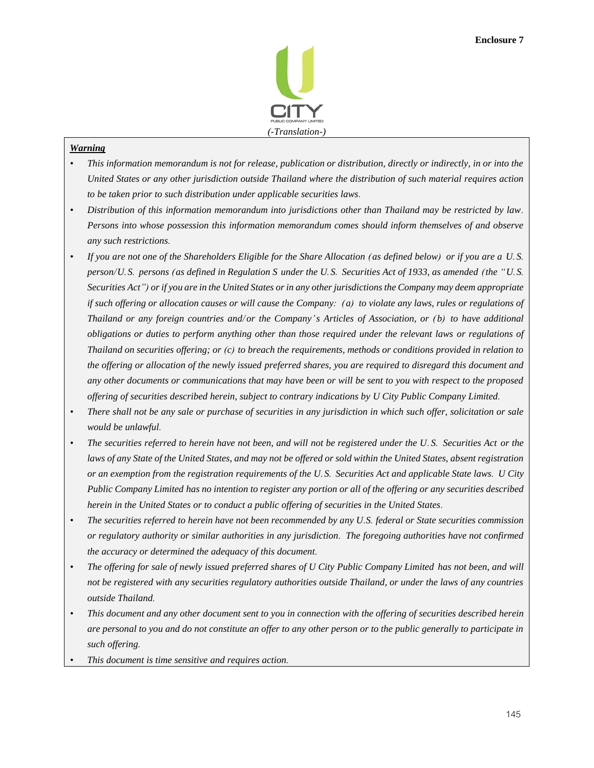

## *Warning*

- *• This information memorandum is not for release, publication or distribution, directly or indirectly, in or into the United States or any other jurisdiction outside Thailand where the distribution of such material requires action to be taken prior to such distribution under applicable securities laws.*
- *• Distribution of this information memorandum into jurisdictions other than Thailand may be restricted by law. Persons into whose possession this information memorandum comes should inform themselves of and observe any such restrictions.*
- *• If you are not one of the Shareholders Eligible for the Share Allocation (as defined below) or if you are a U.S. person/U.S. persons (as defined in Regulation S under the U.S. Securities Act of 1933, as amended (the "U.S. Securities Act") or if you are in the United States or in any other jurisdictions the Company may deem appropriate if such offering or allocation causes or will cause the Company: (a) to violate any laws, rules or regulations of Thailand or any foreign countries and/ or the Company's Articles of Association, or (b) to have additional obligations or duties to perform anything other than those required under the relevant laws or regulations of Thailand on securities offering; or (c) to breach the requirements, methods or conditions provided in relation to the offering or allocation of the newly issued preferred shares, you are required to disregard this document and any other documents or communications that may have been or will be sent to you with respect to the proposed offering of securities described herein, subject to contrary indications by U City Public Company Limited.*
- *• There shall not be any sale or purchase of securities in any jurisdiction in which such offer, solicitation or sale would be unlawful.*
- *• The securities referred to herein have not been, and will not be registered under the U.S. Securities Act or the*  laws of any State of the United States, and may not be offered or sold within the United States, absent registration *or an exemption from the registration requirements of the U.S. Securities Act and applicable State laws. U City Public Company Limited has no intention to register any portion or all of the offering or any securities described herein in the United States or to conduct a public offering of securities in the United States.*
- *• The securities referred to herein have not been recommended by any U.S. federal or State securities commission or regulatory authority or similar authorities in any jurisdiction. The foregoing authorities have not confirmed the accuracy or determined the adequacy of this document.*
- *• The offering for sale of newly issued preferred shares of U City Public Company Limited has not been, and will not be registered with any securities regulatory authorities outside Thailand, or under the laws of any countries outside Thailand.*
- *• This document and any other document sent to you in connection with the offering of securities described herein are personal to you and do not constitute an offer to any other person or to the public generally to participate in such offering.*
- *• This document is time sensitive and requires action.*